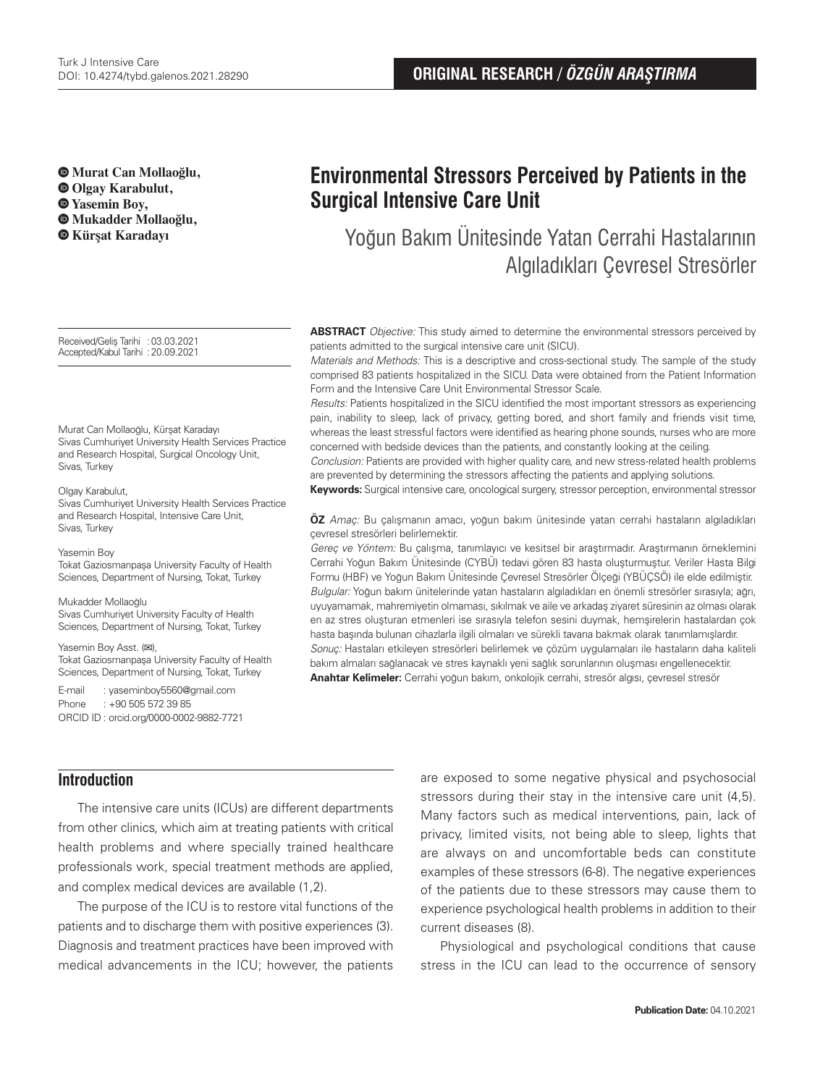**Murat Can Mollaoğlu, Olgay Karabulut, Yasemin Boy,** 

- **Mukadder Mollaoğlu, Kürşat Karadayı**
- 

Received/Geliş Tarihi :03.03.2021 Accepted/Kabul Tarihi :20.09.2021

Murat Can Mollaoğlu, Kürşat Karadayı Sivas Cumhuriyet University Health Services Practice and Research Hospital, Surgical Oncology Unit, Sivas, Turkey

#### Olgay Karabulut,

Sivas Cumhuriyet University Health Services Practice and Research Hospital, Intensive Care Unit, Sivas, Turkey

#### Yasemin Boy

Tokat Gaziosmanpaşa University Faculty of Health Sciences, Department of Nursing, Tokat, Turkey

#### Mukadder Mollaoğlu

Sivas Cumhuriyet University Faculty of Health Sciences, Department of Nursing, Tokat, Turkey

#### Yasemin Boy Asst. (**✉**),

Tokat Gaziosmanpaşa University Faculty of Health Sciences, Department of Nursing, Tokat, Turkey

E-mail : yaseminboy5560@gmail.com Phone : +90 505 572 39 85 ORCID ID : orcid.org/0000-0002-9882-7721

# **Environmental Stressors Perceived by Patients in the Surgical Intensive Care Unit**

Yoğun Bakım Ünitesinde Yatan Cerrahi Hastalarının Algıladıkları Çevresel Stresörler

**ABSTRACT** Objective: This study aimed to determine the environmental stressors perceived by patients admitted to the surgical intensive care unit (SICU).

Materials and Methods: This is a descriptive and cross-sectional study. The sample of the study comprised 83 patients hospitalized in the SICU. Data were obtained from the Patient Information Form and the Intensive Care Unit Environmental Stressor Scale.

Results: Patients hospitalized in the SICU identified the most important stressors as experiencing pain, inability to sleep, lack of privacy, getting bored, and short family and friends visit time, whereas the least stressful factors were identified as hearing phone sounds, nurses who are more concerned with bedside devices than the patients, and constantly looking at the ceiling.

Conclusion: Patients are provided with higher quality care, and new stress-related health problems are prevented by determining the stressors affecting the patients and applying solutions.

**Keywords:** Surgical intensive care, oncological surgery, stressor perception, environmental stressor

**ÖZ** Amaç: Bu çalışmanın amacı, yoğun bakım ünitesinde yatan cerrahi hastaların algıladıkları çevresel stresörleri belirlemektir.

Gereç ve Yöntem: Bu çalışma, tanımlayıcı ve kesitsel bir araştırmadır. Araştırmanın örneklemini Cerrahi Yoğun Bakım Ünitesinde (CYBÜ) tedavi gören 83 hasta oluşturmuştur. Veriler Hasta Bilgi Formu (HBF) ve Yoğun Bakım Ünitesinde Çevresel Stresörler Ölçeği (YBÜÇSÖ) ile elde edilmiştir. Bulgular: Yoğun bakım ünitelerinde yatan hastaların algıladıkları en önemli stresörler sırasıyla; ağrı, uyuyamamak, mahremiyetin olmaması, sıkılmak ve aile ve arkadaş ziyaret süresinin az olması olarak en az stres oluşturan etmenleri ise sırasıyla telefon sesini duymak, hemşirelerin hastalardan çok hasta başında bulunan cihazlarla ilgili olmaları ve sürekli tavana bakmak olarak tanımlamışlardır. Sonuç: Hastaları etkileyen stresörleri belirlemek ve çözüm uygulamaları ile hastaların daha kaliteli bakım almaları sağlanacak ve stres kaynaklı yeni sağlık sorunlarının oluşması engellenecektir. **Anahtar Kelimeler:** Cerrahi yoğun bakım, onkolojik cerrahi, stresör algısı, çevresel stresör

# **Introduction**

The intensive care units (ICUs) are different departments from other clinics, which aim at treating patients with critical health problems and where specially trained healthcare professionals work, special treatment methods are applied, and complex medical devices are available (1,2).

The purpose of the ICU is to restore vital functions of the patients and to discharge them with positive experiences (3). Diagnosis and treatment practices have been improved with medical advancements in the ICU; however, the patients are exposed to some negative physical and psychosocial stressors during their stay in the intensive care unit (4,5). Many factors such as medical interventions, pain, lack of privacy, limited visits, not being able to sleep, lights that are always on and uncomfortable beds can constitute examples of these stressors (6-8). The negative experiences of the patients due to these stressors may cause them to experience psychological health problems in addition to their current diseases (8).

Physiological and psychological conditions that cause stress in the ICU can lead to the occurrence of sensory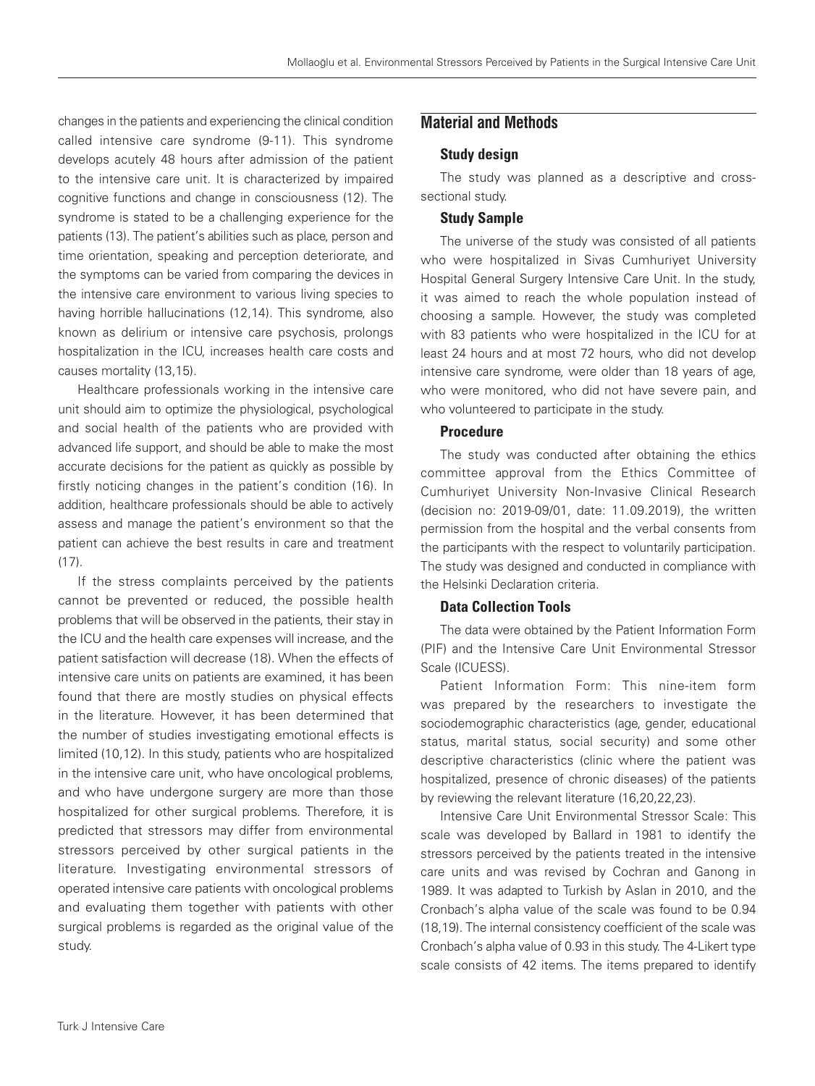changes in the patients and experiencing the clinical condition called intensive care syndrome (9-11). This syndrome develops acutely 48 hours after admission of the patient to the intensive care unit. It is characterized by impaired cognitive functions and change in consciousness (12). The syndrome is stated to be a challenging experience for the patients (13). The patient's abilities such as place, person and time orientation, speaking and perception deteriorate, and the symptoms can be varied from comparing the devices in the intensive care environment to various living species to having horrible hallucinations (12,14). This syndrome, also known as delirium or intensive care psychosis, prolongs hospitalization in the ICU, increases health care costs and causes mortality (13,15).

Healthcare professionals working in the intensive care unit should aim to optimize the physiological, psychological and social health of the patients who are provided with advanced life support, and should be able to make the most accurate decisions for the patient as quickly as possible by firstly noticing changes in the patient's condition (16). In addition, healthcare professionals should be able to actively assess and manage the patient's environment so that the patient can achieve the best results in care and treatment  $(17)$ .

If the stress complaints perceived by the patients cannot be prevented or reduced, the possible health problems that will be observed in the patients, their stay in the ICU and the health care expenses will increase, and the patient satisfaction will decrease (18). When the effects of intensive care units on patients are examined, it has been found that there are mostly studies on physical effects in the literature. However, it has been determined that the number of studies investigating emotional effects is limited (10,12). In this study, patients who are hospitalized in the intensive care unit, who have oncological problems, and who have undergone surgery are more than those hospitalized for other surgical problems. Therefore, it is predicted that stressors may differ from environmental stressors perceived by other surgical patients in the literature. Investigating environmental stressors of operated intensive care patients with oncological problems and evaluating them together with patients with other surgical problems is regarded as the original value of the study.

# **Material and Methods**

#### Study design

The study was planned as a descriptive and crosssectional study.

#### Study Sample

The universe of the study was consisted of all patients who were hospitalized in Sivas Cumhuriyet University Hospital General Surgery Intensive Care Unit. In the study, it was aimed to reach the whole population instead of choosing a sample. However, the study was completed with 83 patients who were hospitalized in the ICU for at least 24 hours and at most 72 hours, who did not develop intensive care syndrome, were older than 18 years of age, who were monitored, who did not have severe pain, and who volunteered to participate in the study.

#### Procedure

The study was conducted after obtaining the ethics committee approval from the Ethics Committee of Cumhuriyet University Non-Invasive Clinical Research (decision no: 2019-09/01, date: 11.09.2019), the written permission from the hospital and the verbal consents from the participants with the respect to voluntarily participation. The study was designed and conducted in compliance with the Helsinki Declaration criteria.

### Data Collection Tools

The data were obtained by the Patient Information Form (PIF) and the Intensive Care Unit Environmental Stressor Scale (ICUESS).

Patient Information Form: This nine-item form was prepared by the researchers to investigate the sociodemographic characteristics (age, gender, educational status, marital status, social security) and some other descriptive characteristics (clinic where the patient was hospitalized, presence of chronic diseases) of the patients by reviewing the relevant literature (16,20,22,23).

Intensive Care Unit Environmental Stressor Scale: This scale was developed by Ballard in 1981 to identify the stressors perceived by the patients treated in the intensive care units and was revised by Cochran and Ganong in 1989. It was adapted to Turkish by Aslan in 2010, and the Cronbach's alpha value of the scale was found to be 0.94 (18,19). The internal consistency coefficient of the scale was Cronbach's alpha value of 0.93 in this study. The 4-Likert type scale consists of 42 items. The items prepared to identify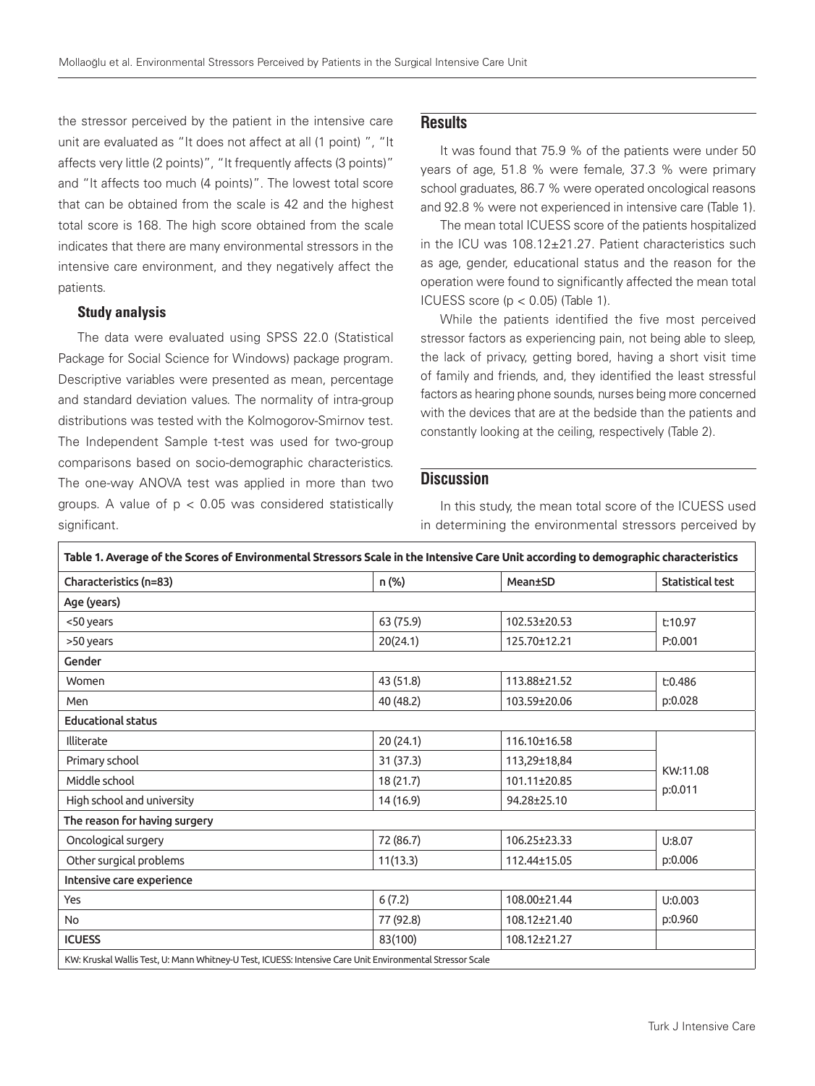the stressor perceived by the patient in the intensive care unit are evaluated as "It does not affect at all (1 point) ", "It affects very little (2 points)", "It frequently affects (3 points)" and "It affects too much (4 points)". The lowest total score that can be obtained from the scale is 42 and the highest total score is 168. The high score obtained from the scale indicates that there are many environmental stressors in the intensive care environment, and they negatively affect the patients.

#### Study analysis

The data were evaluated using SPSS 22.0 (Statistical Package for Social Science for Windows) package program. Descriptive variables were presented as mean, percentage and standard deviation values. The normality of intra-group distributions was tested with the Kolmogorov-Smirnov test. The Independent Sample t-test was used for two-group comparisons based on socio-demographic characteristics. The one-way ANOVA test was applied in more than two groups. A value of  $p < 0.05$  was considered statistically significant.

# **Results**

It was found that 75.9 % of the patients were under 50 years of age, 51.8 % were female, 37.3 % were primary school graduates, 86.7 % were operated oncological reasons and 92.8 % were not experienced in intensive care (Table 1).

The mean total ICUESS score of the patients hospitalized in the ICU was 108.12±21.27. Patient characteristics such as age, gender, educational status and the reason for the operation were found to significantly affected the mean total ICUESS score (p < 0.05) (Table 1).

While the patients identified the five most perceived stressor factors as experiencing pain, not being able to sleep, the lack of privacy, getting bored, having a short visit time of family and friends, and, they identified the least stressful factors as hearing phone sounds, nurses being more concerned with the devices that are at the bedside than the patients and constantly looking at the ceiling, respectively (Table 2).

## **Discussion**

In this study, the mean total score of the ICUESS used in determining the environmental stressors perceived by

| Characteristics (n=83)        | n (%)     | Mean±SD      | Statistical test    |  |
|-------------------------------|-----------|--------------|---------------------|--|
| Age (years)                   |           |              |                     |  |
| <50 years                     | 63 (75.9) | 102.53±20.53 | t:10.97             |  |
| >50 years                     | 20(24.1)  | 125.70±12.21 | P:0.001             |  |
| Gender                        |           |              |                     |  |
| Women                         | 43 (51.8) | 113.88±21.52 | E:0.486<br>p:0.028  |  |
| Men                           | 40 (48.2) | 103.59±20.06 |                     |  |
| <b>Educational status</b>     |           |              |                     |  |
| Illiterate                    | 20 (24.1) | 116.10±16.58 |                     |  |
| Primary school                | 31 (37.3) | 113,29±18,84 | KW:11.08<br>p:0.011 |  |
| Middle school                 | 18 (21.7) | 101.11±20.85 |                     |  |
| High school and university    | 14 (16.9) | 94.28±25.10  |                     |  |
| The reason for having surgery |           |              |                     |  |
| Oncological surgery           | 72 (86.7) | 106.25±23.33 | U:8.07              |  |
| Other surgical problems       | 11(13.3)  | 112.44±15.05 | p:0.006             |  |
| Intensive care experience     |           |              |                     |  |
| Yes                           | 6(7.2)    | 108.00±21.44 | U:0.003             |  |
| <b>No</b>                     | 77 (92.8) | 108.12±21.40 | p:0.960             |  |
| <b>ICUESS</b>                 | 83(100)   | 108.12±21.27 |                     |  |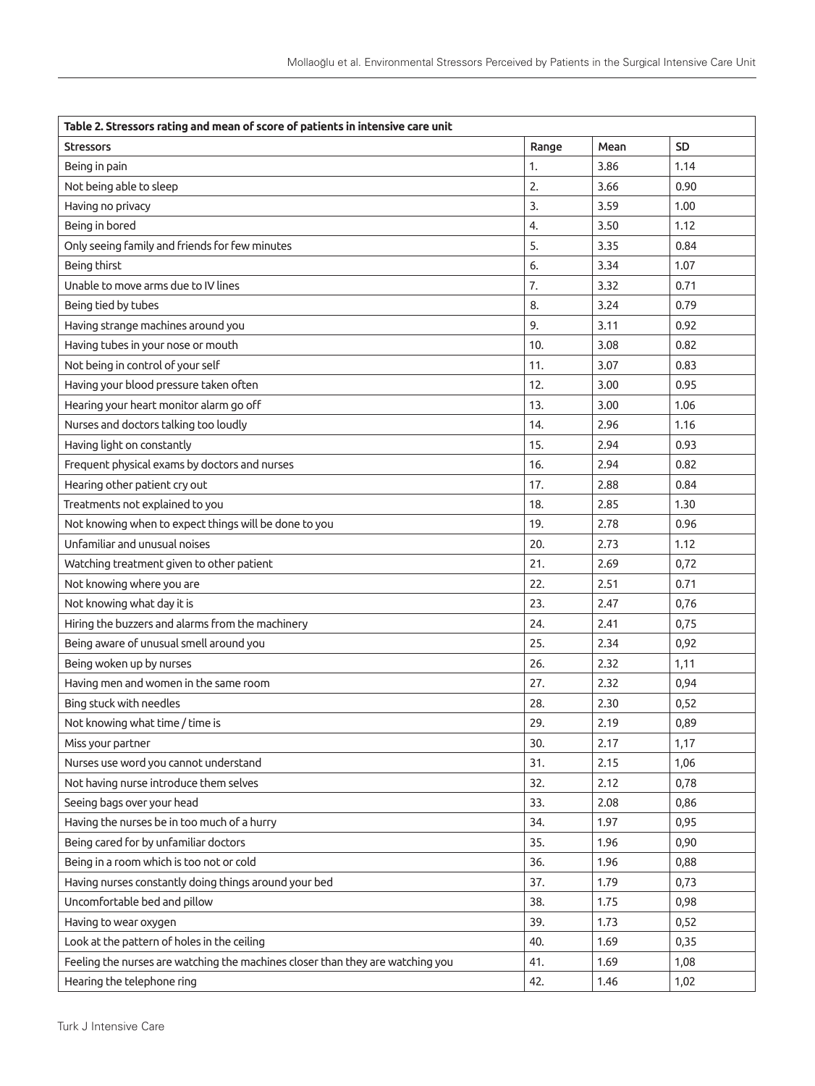| Table 2. Stressors rating and mean of score of patients in intensive care unit |       |      |           |  |
|--------------------------------------------------------------------------------|-------|------|-----------|--|
| <b>Stressors</b>                                                               | Range | Mean | <b>SD</b> |  |
| Being in pain                                                                  | 1.    | 3.86 | 1.14      |  |
| Not being able to sleep                                                        | 2.    | 3.66 | 0.90      |  |
| Having no privacy                                                              | 3.    | 3.59 | 1.00      |  |
| Being in bored                                                                 | 4.    | 3.50 | 1.12      |  |
| Only seeing family and friends for few minutes                                 | 5.    | 3.35 | 0.84      |  |
| Being thirst                                                                   | 6.    | 3.34 | 1.07      |  |
| Unable to move arms due to IV lines                                            | 7.    | 3.32 | 0.71      |  |
| Being tied by tubes                                                            | 8.    | 3.24 | 0.79      |  |
| Having strange machines around you                                             | 9.    | 3.11 | 0.92      |  |
| Having tubes in your nose or mouth                                             | 10.   | 3.08 | 0.82      |  |
| Not being in control of your self                                              | 11.   | 3.07 | 0.83      |  |
| Having your blood pressure taken often                                         | 12.   | 3.00 | 0.95      |  |
| Hearing your heart monitor alarm go off                                        | 13.   | 3.00 | 1.06      |  |
| Nurses and doctors talking too loudly                                          | 14.   | 2.96 | 1.16      |  |
| Having light on constantly                                                     | 15.   | 2.94 | 0.93      |  |
| Frequent physical exams by doctors and nurses                                  | 16.   | 2.94 | 0.82      |  |
| Hearing other patient cry out                                                  | 17.   | 2.88 | 0.84      |  |
| Treatments not explained to you                                                | 18.   | 2.85 | 1.30      |  |
| Not knowing when to expect things will be done to you                          | 19.   | 2.78 | 0.96      |  |
| Unfamiliar and unusual noises                                                  | 20.   | 2.73 | 1.12      |  |
| Watching treatment given to other patient                                      | 21.   | 2.69 | 0,72      |  |
| Not knowing where you are                                                      | 22.   | 2.51 | 0.71      |  |
| Not knowing what day it is                                                     | 23.   | 2.47 | 0,76      |  |
| Hiring the buzzers and alarms from the machinery                               | 24.   | 2.41 | 0,75      |  |
| Being aware of unusual smell around you                                        | 25.   | 2.34 | 0,92      |  |
| Being woken up by nurses                                                       | 26.   | 2.32 | 1,11      |  |
| Having men and women in the same room                                          | 27.   | 2.32 | 0,94      |  |
| Bing stuck with needles                                                        | 28.   | 2.30 | 0,52      |  |
| Not knowing what time / time is                                                | 29.   | 2.19 | 0,89      |  |
| Miss your partner                                                              | 30.   | 2.17 | 1,17      |  |
| Nurses use word you cannot understand                                          | 31.   | 2.15 | 1,06      |  |
| Not having nurse introduce them selves                                         | 32.   | 2.12 | 0,78      |  |
| Seeing bags over your head                                                     | 33.   | 2.08 | 0,86      |  |
| Having the nurses be in too much of a hurry                                    | 34.   | 1.97 | 0,95      |  |
| Being cared for by unfamiliar doctors                                          | 35.   | 1.96 | 0,90      |  |
| Being in a room which is too not or cold                                       | 36.   | 1.96 | 0,88      |  |
| Having nurses constantly doing things around your bed                          | 37.   | 1.79 | 0,73      |  |
| Uncomfortable bed and pillow                                                   | 38.   | 1.75 | 0,98      |  |
| Having to wear oxygen                                                          | 39.   | 1.73 | 0,52      |  |
| Look at the pattern of holes in the ceiling                                    | 40.   | 1.69 | 0,35      |  |
| Feeling the nurses are watching the machines closer than they are watching you | 41.   | 1.69 | 1,08      |  |
| Hearing the telephone ring                                                     | 42.   | 1.46 | 1,02      |  |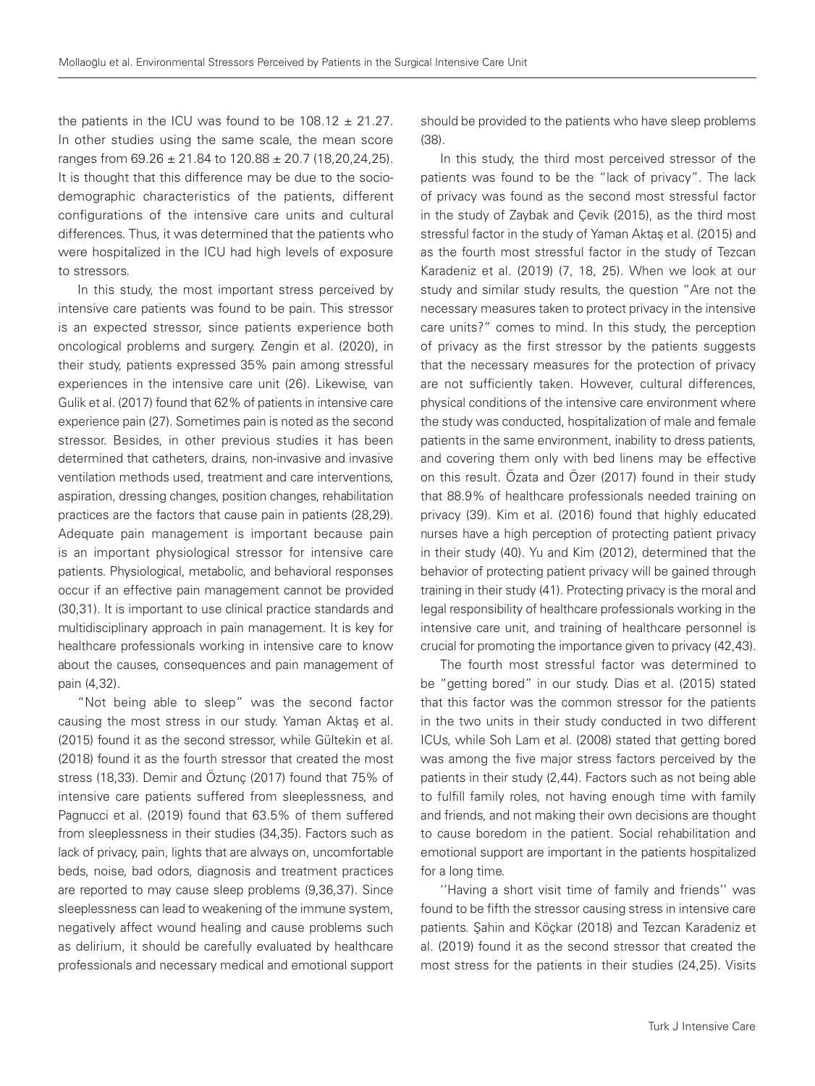the patients in the ICU was found to be  $108.12 \pm 21.27$ . In other studies using the same scale, the mean score ranges from 69.26 ± 21.84 to 120.88 ± 20.7 (18,20,24,25). It is thought that this difference may be due to the sociodemographic characteristics of the patients, different configurations of the intensive care units and cultural differences. Thus, it was determined that the patients who were hospitalized in the ICU had high levels of exposure to stressors.

In this study, the most important stress perceived by intensive care patients was found to be pain. This stressor is an expected stressor, since patients experience both oncological problems and surgery. Zengin et al. (2020), in their study, patients expressed 35% pain among stressful experiences in the intensive care unit (26). Likewise, van Gulik et al. (2017) found that 62% of patients in intensive care experience pain (27). Sometimes pain is noted as the second stressor. Besides, in other previous studies it has been determined that catheters, drains, non-invasive and invasive ventilation methods used, treatment and care interventions, aspiration, dressing changes, position changes, rehabilitation practices are the factors that cause pain in patients (28,29). Adequate pain management is important because pain is an important physiological stressor for intensive care patients. Physiological, metabolic, and behavioral responses occur if an effective pain management cannot be provided (30,31). It is important to use clinical practice standards and multidisciplinary approach in pain management. It is key for healthcare professionals working in intensive care to know about the causes, consequences and pain management of pain (4,32).

"Not being able to sleep" was the second factor causing the most stress in our study. Yaman Aktaş et al. (2015) found it as the second stressor, while Gültekin et al. (2018) found it as the fourth stressor that created the most stress (18,33). Demir and Öztunç (2017) found that 75% of intensive care patients suffered from sleeplessness, and Pagnucci et al. (2019) found that 63.5% of them suffered from sleeplessness in their studies (34,35). Factors such as lack of privacy, pain, lights that are always on, uncomfortable beds, noise, bad odors, diagnosis and treatment practices are reported to may cause sleep problems (9,36,37). Since sleeplessness can lead to weakening of the immune system, negatively affect wound healing and cause problems such as delirium, it should be carefully evaluated by healthcare professionals and necessary medical and emotional support

should be provided to the patients who have sleep problems (38).

In this study, the third most perceived stressor of the patients was found to be the "lack of privacy". The lack of privacy was found as the second most stressful factor in the study of Zaybak and Çevik (2015), as the third most stressful factor in the study of Yaman Aktaş et al. (2015) and as the fourth most stressful factor in the study of Tezcan Karadeniz et al. (2019) (7, 18, 25). When we look at our study and similar study results, the question "Are not the necessary measures taken to protect privacy in the intensive care units?" comes to mind. In this study, the perception of privacy as the first stressor by the patients suggests that the necessary measures for the protection of privacy are not sufficiently taken. However, cultural differences, physical conditions of the intensive care environment where the study was conducted, hospitalization of male and female patients in the same environment, inability to dress patients, and covering them only with bed linens may be effective on this result. Özata and Özer (2017) found in their study that 88.9% of healthcare professionals needed training on privacy (39). Kim et al. (2016) found that highly educated nurses have a high perception of protecting patient privacy in their study (40). Yu and Kim (2012), determined that the behavior of protecting patient privacy will be gained through training in their study (41). Protecting privacy is the moral and legal responsibility of healthcare professionals working in the intensive care unit, and training of healthcare personnel is crucial for promoting the importance given to privacy (42,43).

The fourth most stressful factor was determined to be "getting bored" in our study. Dias et al. (2015) stated that this factor was the common stressor for the patients in the two units in their study conducted in two different ICUs, while Soh Lam et al. (2008) stated that getting bored was among the five major stress factors perceived by the patients in their study (2,44). Factors such as not being able to fulfill family roles, not having enough time with family and friends, and not making their own decisions are thought to cause boredom in the patient. Social rehabilitation and emotional support are important in the patients hospitalized for a long time.

''Having a short visit time of family and friends'' was found to be fifth the stressor causing stress in intensive care patients. Şahin and Köçkar (2018) and Tezcan Karadeniz et al. (2019) found it as the second stressor that created the most stress for the patients in their studies (24,25). Visits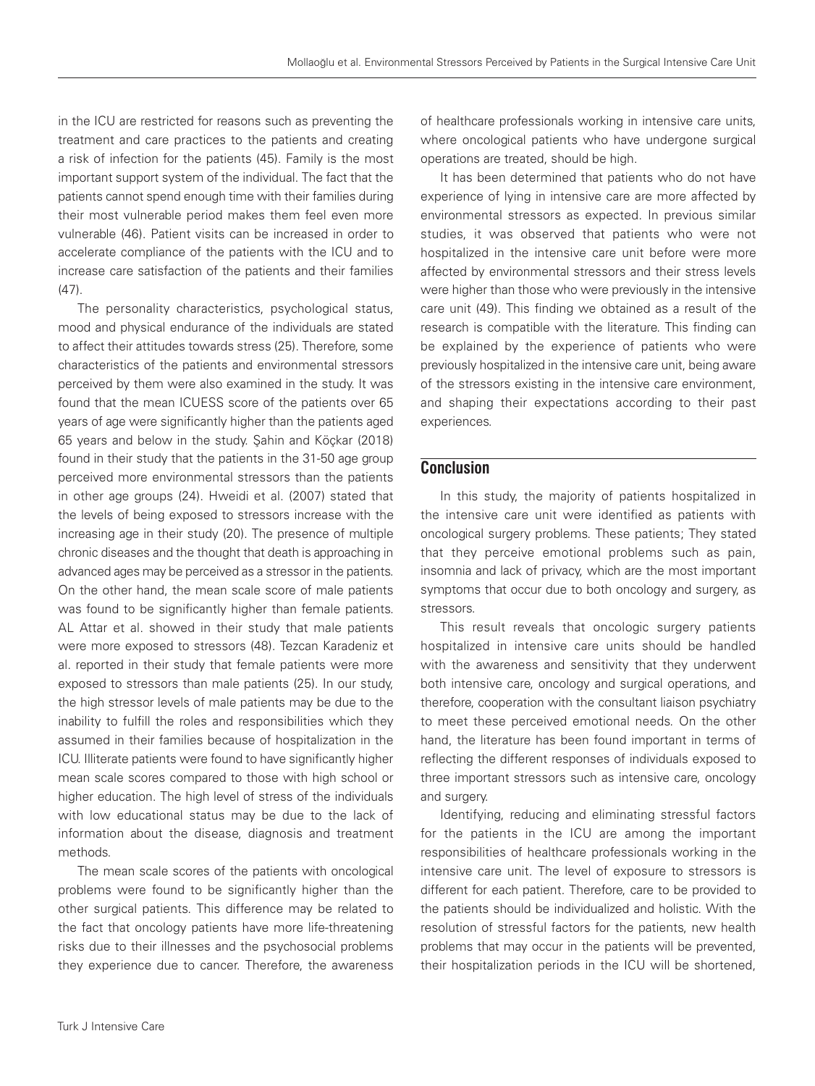in the ICU are restricted for reasons such as preventing the treatment and care practices to the patients and creating a risk of infection for the patients (45). Family is the most important support system of the individual. The fact that the patients cannot spend enough time with their families during their most vulnerable period makes them feel even more vulnerable (46). Patient visits can be increased in order to accelerate compliance of the patients with the ICU and to increase care satisfaction of the patients and their families  $(47)$ .

The personality characteristics, psychological status, mood and physical endurance of the individuals are stated to affect their attitudes towards stress (25). Therefore, some characteristics of the patients and environmental stressors perceived by them were also examined in the study. It was found that the mean ICUESS score of the patients over 65 years of age were significantly higher than the patients aged 65 years and below in the study. Şahin and Köçkar (2018) found in their study that the patients in the 31-50 age group perceived more environmental stressors than the patients in other age groups (24). Hweidi et al. (2007) stated that the levels of being exposed to stressors increase with the increasing age in their study (20). The presence of multiple chronic diseases and the thought that death is approaching in advanced ages may be perceived as a stressor in the patients. On the other hand, the mean scale score of male patients was found to be significantly higher than female patients. AL Attar et al. showed in their study that male patients were more exposed to stressors (48). Tezcan Karadeniz et al. reported in their study that female patients were more exposed to stressors than male patients (25). In our study, the high stressor levels of male patients may be due to the inability to fulfill the roles and responsibilities which they assumed in their families because of hospitalization in the ICU. Illiterate patients were found to have significantly higher mean scale scores compared to those with high school or higher education. The high level of stress of the individuals with low educational status may be due to the lack of information about the disease, diagnosis and treatment methods.

The mean scale scores of the patients with oncological problems were found to be significantly higher than the other surgical patients. This difference may be related to the fact that oncology patients have more life-threatening risks due to their illnesses and the psychosocial problems they experience due to cancer. Therefore, the awareness of healthcare professionals working in intensive care units, where oncological patients who have undergone surgical operations are treated, should be high.

It has been determined that patients who do not have experience of lying in intensive care are more affected by environmental stressors as expected. In previous similar studies, it was observed that patients who were not hospitalized in the intensive care unit before were more affected by environmental stressors and their stress levels were higher than those who were previously in the intensive care unit (49). This finding we obtained as a result of the research is compatible with the literature. This finding can be explained by the experience of patients who were previously hospitalized in the intensive care unit, being aware of the stressors existing in the intensive care environment, and shaping their expectations according to their past experiences.

#### **Conclusion**

In this study, the majority of patients hospitalized in the intensive care unit were identified as patients with oncological surgery problems. These patients; They stated that they perceive emotional problems such as pain, insomnia and lack of privacy, which are the most important symptoms that occur due to both oncology and surgery, as stressors.

This result reveals that oncologic surgery patients hospitalized in intensive care units should be handled with the awareness and sensitivity that they underwent both intensive care, oncology and surgical operations, and therefore, cooperation with the consultant liaison psychiatry to meet these perceived emotional needs. On the other hand, the literature has been found important in terms of reflecting the different responses of individuals exposed to three important stressors such as intensive care, oncology and surgery.

Identifying, reducing and eliminating stressful factors for the patients in the ICU are among the important responsibilities of healthcare professionals working in the intensive care unit. The level of exposure to stressors is different for each patient. Therefore, care to be provided to the patients should be individualized and holistic. With the resolution of stressful factors for the patients, new health problems that may occur in the patients will be prevented, their hospitalization periods in the ICU will be shortened,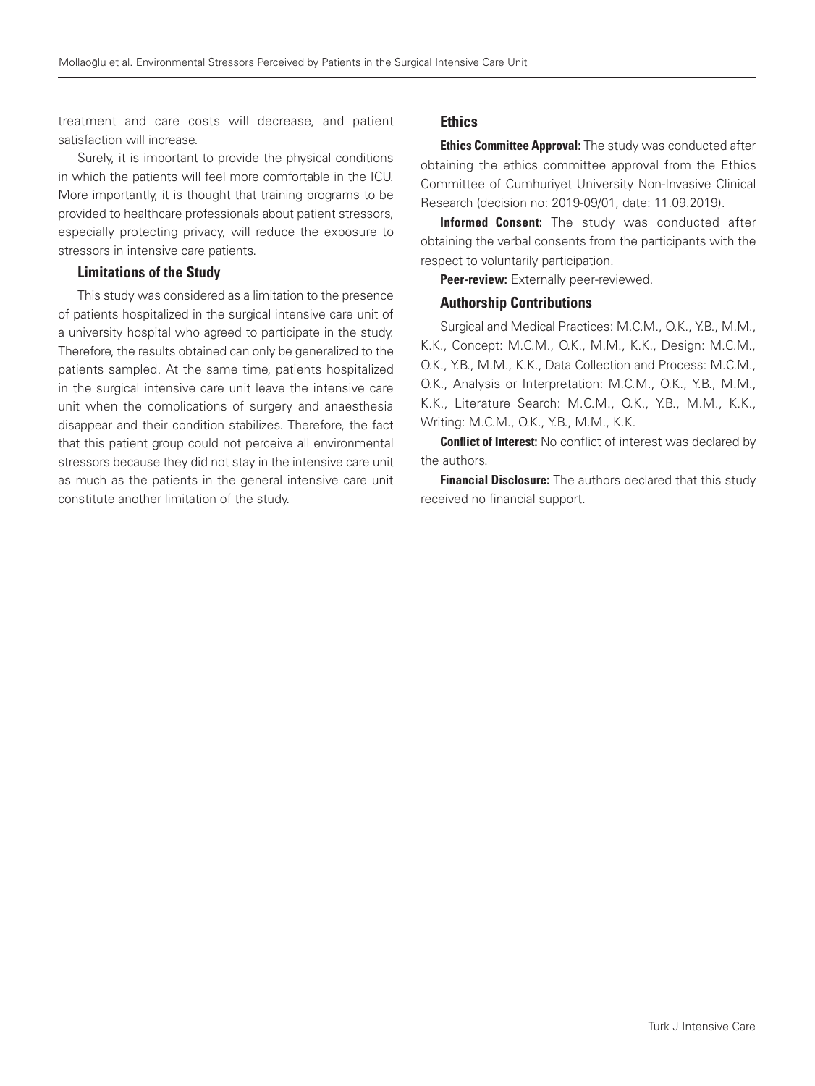treatment and care costs will decrease, and patient satisfaction will increase.

Surely, it is important to provide the physical conditions in which the patients will feel more comfortable in the ICU. More importantly, it is thought that training programs to be provided to healthcare professionals about patient stressors, especially protecting privacy, will reduce the exposure to stressors in intensive care patients.

#### Limitations of the Study

This study was considered as a limitation to the presence of patients hospitalized in the surgical intensive care unit of a university hospital who agreed to participate in the study. Therefore, the results obtained can only be generalized to the patients sampled. At the same time, patients hospitalized in the surgical intensive care unit leave the intensive care unit when the complications of surgery and anaesthesia disappear and their condition stabilizes. Therefore, the fact that this patient group could not perceive all environmental stressors because they did not stay in the intensive care unit as much as the patients in the general intensive care unit constitute another limitation of the study.

## **Ethics**

**Ethics Committee Approval:** The study was conducted after obtaining the ethics committee approval from the Ethics Committee of Cumhuriyet University Non-Invasive Clinical Research (decision no: 2019-09/01, date: 11.09.2019).

Informed Consent: The study was conducted after obtaining the verbal consents from the participants with the respect to voluntarily participation.

Peer-review: Externally peer-reviewed.

#### Authorship Contributions

Surgical and Medical Practices: M.C.M., O.K., Y.B., M.M., K.K., Concept: M.C.M., O.K., M.M., K.K., Design: M.C.M., O.K., Y.B., M.M., K.K., Data Collection and Process: M.C.M., O.K., Analysis or Interpretation: M.C.M., O.K., Y.B., M.M., K.K., Literature Search: M.C.M., O.K., Y.B., M.M., K.K., Writing: M.C.M., O.K., Y.B., M.M., K.K.

**Conflict of Interest:** No conflict of interest was declared by the authors.

**Financial Disclosure:** The authors declared that this study received no financial support.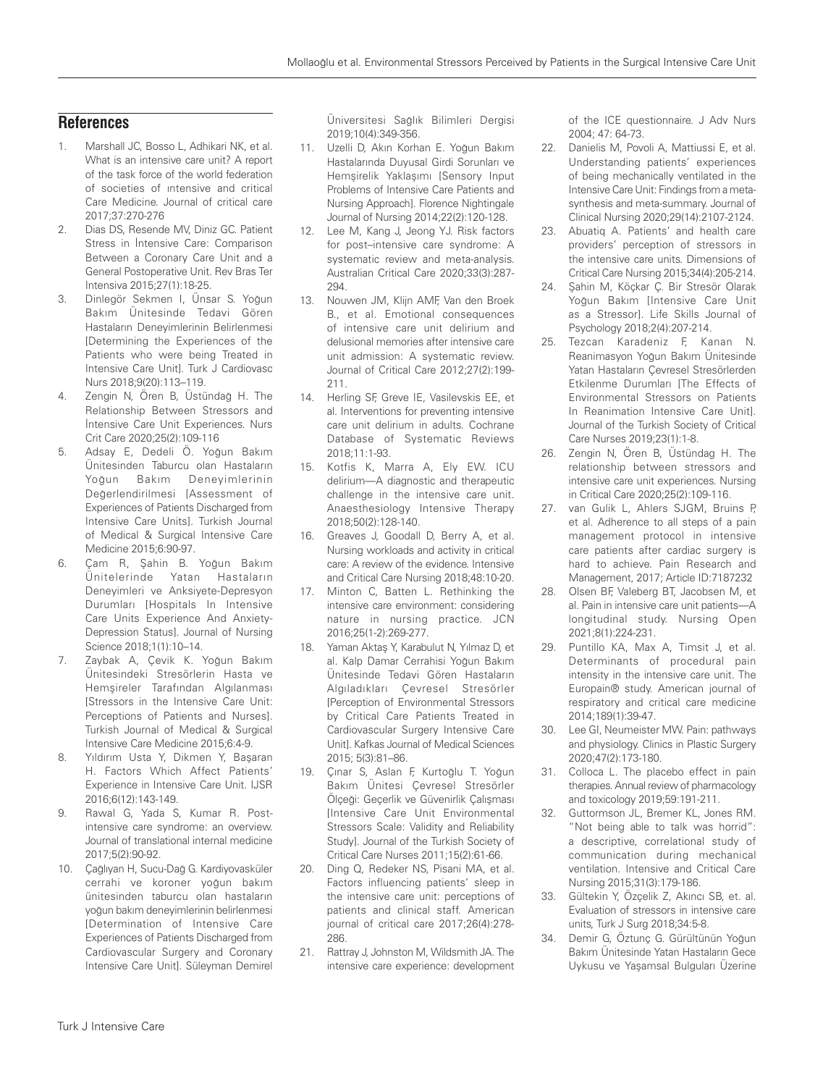## **References**

- 1. Marshall JC, Bosso L, Adhikari NK, et al. What is an intensive care unit? A report of the task force of the world federation of societies of ıntensive and critical Care Medicine. Journal of critical care 2017;37:270-276
- 2. Dias DS, Resende MV, Diniz GC. Patient Stress in İntensive Care: Comparison Between a Coronary Care Unit and a General Postoperative Unit. Rev Bras Ter Intensiva 2015;27(1):18-25.
- 3. Dinlegör Sekmen I, Ünsar S. Yoğun Bakım Ünitesinde Tedavi Gören Hastaların Deneyimlerinin Belirlenmesi [Determining the Experiences of the Patients who were being Treated in Intensive Care Unit]. Turk J Cardiovasc Nurs 2018;9(20):113–119.
- 4. Zengin N, Ören B, Üstündağ H. The Relationship Between Stressors and İntensive Care Unit Experiences. Nurs Crit Care 2020;25(2):109-116
- 5. Adsay E, Dedeli Ö. Yoğun Bakım Ünitesinden Taburcu olan Hastaların Yoğun Bakım Deneyimlerinin Değerlendirilmesi [Assessment of Experiences of Patients Discharged from Intensive Care Units]. Turkish Journal of Medical & Surgical Intensive Care Medicine 2015;6:90-97.
- 6. Çam R, Şahin B. Yoğun Bakım Ünitelerinde Yatan Hastaların Deneyimleri ve Anksiyete-Depresyon Durumları [Hospitals In Intensive Care Units Experience And Anxiety-Depression Status]. Journal of Nursing Science 2018;1(1):10–14.
- 7. Zaybak A, Çevik K. Yoğun Bakım Ünitesindeki Stresörlerin Hasta ve Hemşireler Tarafından Algılanması [Stressors in the Intensive Care Unit: Perceptions of Patients and Nurses]. Turkish Journal of Medical & Surgical Intensive Care Medicine 2015;6:4-9.
- 8. Yıldırım Usta Y, Dikmen Y, Başaran H. Factors Which Affect Patients' Experience in Intensive Care Unit. IJSR 2016;6(12):143-149.
- 9. Rawal G, Yada S, Kumar R. Postintensive care syndrome: an overview. Journal of translational internal medicine 2017;5(2):90-92.
- 10. Çağlıyan H, Sucu-Dağ G. Kardiyovasküler cerrahi ve koroner yoğun bakım ünitesinden taburcu olan hastaların yoğun bakım deneyimlerinin belirlenmesi [Determination of Intensive Care Experiences of Patients Discharged from Cardiovascular Surgery and Coronary Intensive Care Unit]. Süleyman Demirel

Üniversitesi Sağlık Bilimleri Dergisi 2019;10(4):349-356.

- 11. Uzelli D, Akın Korhan E. Yoğun Bakım Hastalarında Duyusal Girdi Sorunları ve Hemşirelik Yaklaşımı [Sensory Input Problems of Intensive Care Patients and Nursing Approach]. Florence Nightingale Journal of Nursing 2014;22(2):120-128.
- 12. Lee M, Kang J, Jeong YJ. Risk factors for post–intensive care syndrome: A systematic review and meta-analysis. Australian Critical Care 2020;33(3):287- 294.
- 13. Nouwen JM, Klijn AMF, Van den Broek B., et al. Emotional consequences of intensive care unit delirium and delusional memories after intensive care unit admission: A systematic review. Journal of Critical Care 2012;27(2):199- 211.
- 14. Herling SF, Greve IE, Vasilevskis EE, et al. Interventions for preventing intensive care unit delirium in adults. Cochrane Database of Systematic Reviews 2018;11:1-93.
- 15. Kotfis K, Marra A, Ely EW. ICU delirium—A diagnostic and therapeutic challenge in the intensive care unit. Anaesthesiology Intensive Therapy 2018;50(2):128-140.
- 16. Greaves J, Goodall D, Berry A, et al. Nursing workloads and activity in critical care: A review of the evidence. Intensive and Critical Care Nursing 2018;48:10-20.
- 17. Minton C, Batten L. Rethinking the intensive care environment: considering nature in nursing practice. JCN 2016;25(1-2):269-277.
- 18. Yaman Aktaş Y, Karabulut N, Yılmaz D, et al. Kalp Damar Cerrahisi Yoğun Bakım Ünitesinde Tedavi Gören Hastaların Algıladıkları Çevresel Stresörler [Perception of Environmental Stressors by Critical Care Patients Treated in Cardiovascular Surgery Intensive Care Unit]. Kafkas Journal of Medical Sciences 2015; 5(3):81–86.
- 19. Çınar S, Aslan F, Kurtoğlu T. Yoğun Bakım Ünitesi Çevresel Stresörler Ölçeği: Geçerlik ve Güvenirlik Çalışması [Intensive Care Unit Environmental Stressors Scale: Validity and Reliability Study]. Journal of the Turkish Society of Critical Care Nurses 2011;15(2):61-66.
- 20. Ding Q, Redeker NS, Pisani MA, et al. Factors influencing patients' sleep in the intensive care unit: perceptions of patients and clinical staff. American journal of critical care 2017;26(4):278- 286.
- 21. Rattray J, Johnston M, Wildsmith JA. The intensive care experience: development

of the ICE questionnaire. J Adv Nurs 2004; 47: 64-73.

- 22. Danielis M, Povoli A, Mattiussi E, et al. Understanding patients' experiences of being mechanically ventilated in the Intensive Care Unit: Findings from a metasynthesis and meta-summary. Journal of Clinical Nursing 2020;29(14):2107-2124.
- 23. Abuatiq A. Patients' and health care providers' perception of stressors in the intensive care units. Dimensions of Critical Care Nursing 2015;34(4):205-214.
- 24. Şahin M, Köçkar Ç. Bir Stresör Olarak Yoğun Bakım [Intensive Care Unit as a Stressor]. Life Skills Journal of Psychology 2018;2(4):207-214.
- 25. Tezcan Karadeniz F, Kanan N. Reanimasyon Yoğun Bakım Ünitesinde Yatan Hastaların Çevresel Stresörlerden Etkilenme Durumları [The Effects of Environmental Stressors on Patients In Reanimation Intensive Care Unit]. Journal of the Turkish Society of Critical Care Nurses 2019;23(1):1-8.
- 26. Zengin N, Ören B, Üstündag H. The relationship between stressors and intensive care unit experiences. Nursing in Critical Care 2020;25(2):109-116.
- 27. van Gulik L, Ahlers SJGM, Bruins P, et al. Adherence to all steps of a pain management protocol in intensive care patients after cardiac surgery is hard to achieve. Pain Research and Management, 2017; Article ID:7187232
- 28. Olsen BF, Valeberg BT, Jacobsen M, et al. Pain in intensive care unit patients—A longitudinal study. Nursing Open 2021;8(1):224-231.
- 29. Puntillo KA, Max A, Timsit J, et al. Determinants of procedural pain intensity in the intensive care unit. The Europain® study. American journal of respiratory and critical care medicine 2014;189(1):39-47.
- 30. Lee GI, Neumeister MW. Pain: pathways and physiology. Clinics in Plastic Surgery 2020;47(2):173-180.
- 31. Colloca L. The placebo effect in pain therapies. Annual review of pharmacology and toxicology 2019;59:191-211.
- 32. Guttormson JL, Bremer KL, Jones RM. "Not being able to talk was horrid": a descriptive, correlational study of communication during mechanical ventilation. Intensive and Critical Care Nursing 2015;31(3):179-186.
- 33. Gültekin Y, Özçelik Z, Akıncı SB, et. al. Evaluation of stressors in intensive care units, Turk J Surg 2018;34:5-8.
- 34. Demir G, Öztunç G. Gürültünün Yoğun Bakım Ünitesinde Yatan Hastaların Gece Uykusu ve Yaşamsal Bulguları Üzerine